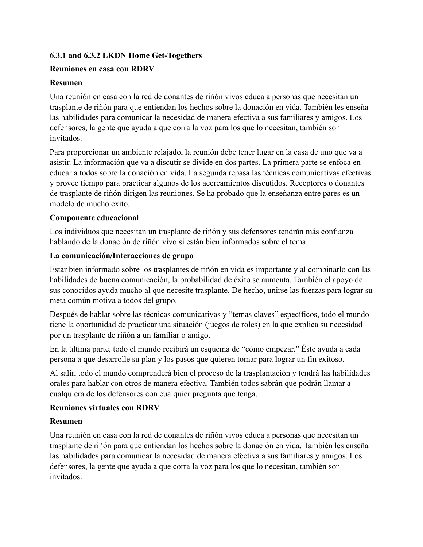# **6.3.1 and 6.3.2 LKDN Home Get-Togethers**

#### **Reuniones en casa con RDRV**

#### **Resumen**

Una reunión en casa con la red de donantes de riñón vivos educa a personas que necesitan un trasplante de riñón para que entiendan los hechos sobre la donación en vida. También les enseña las habilidades para comunicar la necesidad de manera efectiva a sus familiares y amigos. Los defensores, la gente que ayuda a que corra la voz para los que lo necesitan, también son invitados.

Para proporcionar un ambiente relajado, la reunión debe tener lugar en la casa de uno que va a asistir. La información que va a discutir se divide en dos partes. La primera parte se enfoca en educar a todos sobre la donación en vida. La segunda repasa las técnicas comunicativas efectivas y provee tiempo para practicar algunos de los acercamientos discutidos. Receptores o donantes de trasplante de riñón dirigen las reuniones. Se ha probado que la enseñanza entre pares es un modelo de mucho éxito.

#### **Componente educacional**

Los individuos que necesitan un trasplante de riñón y sus defensores tendrán más confianza hablando de la donación de riñón vivo si están bien informados sobre el tema.

#### **La comunicación/Interacciones de grupo**

Estar bien informado sobre los trasplantes de riñón en vida es importante y al combinarlo con las habilidades de buena comunicación, la probabilidad de éxito se aumenta. También el apoyo de sus conocidos ayuda mucho al que necesite trasplante. De hecho, unirse las fuerzas para lograr su meta común motiva a todos del grupo.

Después de hablar sobre las técnicas comunicativas y "temas claves" específicos, todo el mundo tiene la oportunidad de practicar una situación (juegos de roles) en la que explica su necesidad por un trasplante de riñón a un familiar o amigo.

En la última parte, todo el mundo recibirá un esquema de "cómo empezar." Éste ayuda a cada persona a que desarrolle su plan y los pasos que quieren tomar para lograr un fin exitoso.

Al salir, todo el mundo comprenderá bien el proceso de la trasplantación y tendrá las habilidades orales para hablar con otros de manera efectiva. También todos sabrán que podrán llamar a cualquiera de los defensores con cualquier pregunta que tenga.

### **Reuniones virtuales con RDRV**

### **Resumen**

Una reunión en casa con la red de donantes de riñón vivos educa a personas que necesitan un trasplante de riñón para que entiendan los hechos sobre la donación en vida. También les enseña las habilidades para comunicar la necesidad de manera efectiva a sus familiares y amigos. Los defensores, la gente que ayuda a que corra la voz para los que lo necesitan, también son invitados.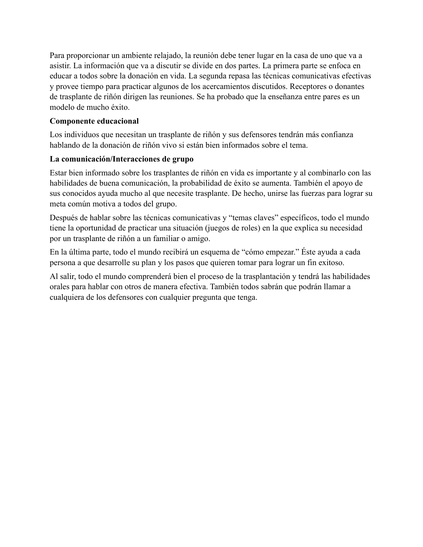Para proporcionar un ambiente relajado, la reunión debe tener lugar en la casa de uno que va a asistir. La información que va a discutir se divide en dos partes. La primera parte se enfoca en educar a todos sobre la donación en vida. La segunda repasa las técnicas comunicativas efectivas y provee tiempo para practicar algunos de los acercamientos discutidos. Receptores o donantes de trasplante de riñón dirigen las reuniones. Se ha probado que la enseñanza entre pares es un modelo de mucho éxito.

### **Componente educacional**

Los individuos que necesitan un trasplante de riñón y sus defensores tendrán más confianza hablando de la donación de riñón vivo si están bien informados sobre el tema.

## **La comunicación/Interacciones de grupo**

Estar bien informado sobre los trasplantes de riñón en vida es importante y al combinarlo con las habilidades de buena comunicación, la probabilidad de éxito se aumenta. También el apoyo de sus conocidos ayuda mucho al que necesite trasplante. De hecho, unirse las fuerzas para lograr su meta común motiva a todos del grupo.

Después de hablar sobre las técnicas comunicativas y "temas claves" específicos, todo el mundo tiene la oportunidad de practicar una situación (juegos de roles) en la que explica su necesidad por un trasplante de riñón a un familiar o amigo.

En la última parte, todo el mundo recibirá un esquema de "cómo empezar." Éste ayuda a cada persona a que desarrolle su plan y los pasos que quieren tomar para lograr un fin exitoso.

Al salir, todo el mundo comprenderá bien el proceso de la trasplantación y tendrá las habilidades orales para hablar con otros de manera efectiva. También todos sabrán que podrán llamar a cualquiera de los defensores con cualquier pregunta que tenga.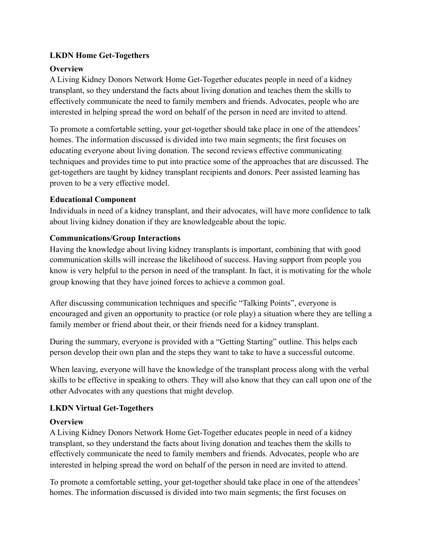## **LKDN Home Get-Togethers**

## **Overview**

A Living Kidney Donors Network Home Get-Together educates people in need of a kidney transplant, so they understand the facts about living donation and teaches them the skills to effectively communicate the need to family members and friends. Advocates, people who are interested in helping spread the word on behalf of the person in need are invited to attend.

To promote a comfortable setting, your get-together should take place in one of the attendees' homes. The information discussed is divided into two main segments; the first focuses on educating everyone about living donation. The second reviews effective communicating techniques and provides time to put into practice some of the approaches that are discussed. The get-togethers are taught by kidney transplant recipients and donors. Peer assisted learning has proven to be a very effective model.

### **Educational Component**

Individuals in need of a kidney transplant, and their advocates, will have more confidence to talk about living kidney donation if they are knowledgeable about the topic.

## **Communications/Group Interactions**

Having the knowledge about living kidney transplants is important, combining that with good communication skills will increase the likelihood of success. Having support from people you know is very helpful to the person in need of the transplant. In fact, it is motivating for the whole group knowing that they have joined forces to achieve a common goal.

After discussing communication techniques and specific "Talking Points", everyone is encouraged and given an opportunity to practice (or role play) a situation where they are telling a family member or friend about their, or their friends need for a kidney transplant.

During the summary, everyone is provided with a "Getting Starting" outline. This helps each person develop their own plan and the steps they want to take to have a successful outcome.

When leaving, everyone will have the knowledge of the transplant process along with the verbal skills to be effective in speaking to others. They will also know that they can call upon one of the other Advocates with any questions that might develop.

# **LKDN Virtual Get-Togethers**

### **Overview**

A Living Kidney Donors Network Home Get-Together educates people in need of a kidney transplant, so they understand the facts about living donation and teaches them the skills to effectively communicate the need to family members and friends. Advocates, people who are interested in helping spread the word on behalf of the person in need are invited to attend.

To promote a comfortable setting, your get-together should take place in one of the attendees' homes. The information discussed is divided into two main segments; the first focuses on